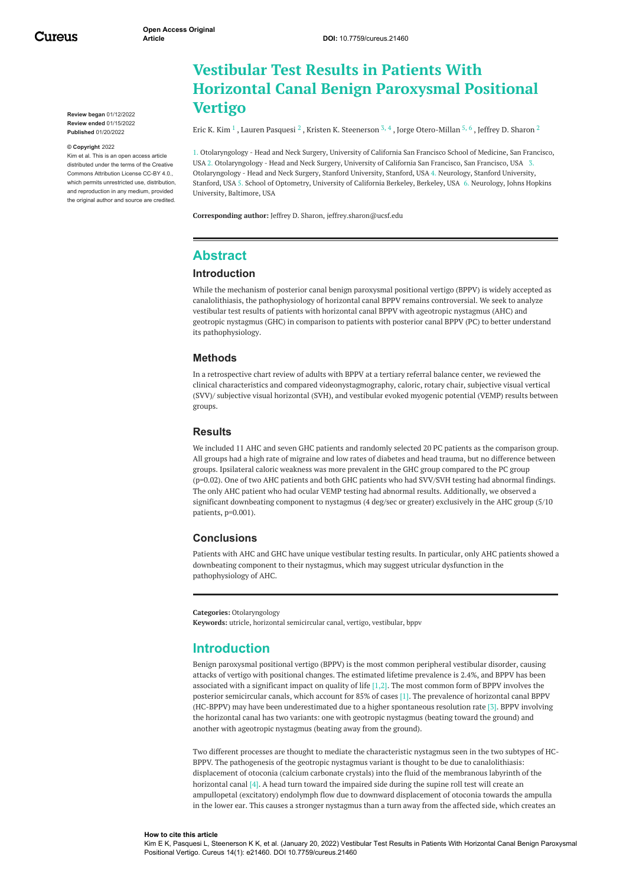Cureus

**Review began** 01/12/2022 **Review ended** 01/15/2022 **Published** 01/20/2022

#### **© Copyright** 2022

Kim et al. This is an open access article distributed under the terms of the Creative Commons Attribution License CC-BY 4.0., which permits unrestricted use, distribution, and reproduction in any medium, provided the original author and source are credited.

# **Vestibular Test Results in Patients With Horizontal Canal Benign Paroxysmal Positional Vertigo**

Eric K. [Kim](https://www.cureus.com/users/319757-eric-k-kim)  $^1$  , Lauren [Pasquesi](https://www.cureus.com/users/319758-lauren-pasquesi)  $^2$  , Kristen K. [Steenerson](https://www.cureus.com/users/319759-kristen-k-steenerson)  $^{3,\,4}$  , Jorge [Otero-Millan](https://www.cureus.com/users/319760-jorge-otero-millan)  $^{5,\,6}$  , Jeffrey D. [Sharon](https://www.cureus.com/users/38357-jeffrey-d-sharon)  $^2$ 

1. Otolaryngology - Head and Neck Surgery, University of California San Francisco School of Medicine, San Francisco, USA 2. Otolaryngology - Head and Neck Surgery, University of California San Francisco, San Francisco, USA 3. Otolaryngology - Head and Neck Surgery, Stanford University, Stanford, USA 4. Neurology, Stanford University, Stanford, USA 5. School of Optometry, University of California Berkeley, Berkeley, USA 6. Neurology, Johns Hopkins University, Baltimore, USA

**Corresponding author:** Jeffrey D. Sharon, jeffrey.sharon@ucsf.edu

### **Abstract**

#### **Introduction**

While the mechanism of posterior canal benign paroxysmal positional vertigo (BPPV) is widely accepted as canalolithiasis, the pathophysiology of horizontal canal BPPV remains controversial. We seek to analyze vestibular test results of patients with horizontal canal BPPV with ageotropic nystagmus (AHC) and geotropic nystagmus (GHC) in comparison to patients with posterior canal BPPV (PC) to better understand its pathophysiology.

#### **Methods**

In a retrospective chart review of adults with BPPV at a tertiary referral balance center, we reviewed the clinical characteristics and compared videonystagmography, caloric, rotary chair, subjective visual vertical (SVV)/ subjective visual horizontal (SVH), and vestibular evoked myogenic potential (VEMP) results between groups.

#### **Results**

We included 11 AHC and seven GHC patients and randomly selected 20 PC patients as the comparison group. All groups had a high rate of migraine and low rates of diabetes and head trauma, but no difference between groups. Ipsilateral caloric weakness was more prevalent in the GHC group compared to the PC group (p=0.02). One of two AHC patients and both GHC patients who had SVV/SVH testing had abnormal findings. The only AHC patient who had ocular VEMP testing had abnormal results. Additionally, we observed a significant downbeating component to nystagmus (4 deg/sec or greater) exclusively in the AHC group (5/10 patients, p=0.001).

#### **Conclusions**

Patients with AHC and GHC have unique vestibular testing results. In particular, only AHC patients showed a downbeating component to their nystagmus, which may suggest utricular dysfunction in the pathophysiology of AHC.

**Categories:** Otolaryngology

**Keywords:** utricle, horizontal semicircular canal, vertigo, vestibular, bppv

### **Introduction**

Benign paroxysmal positional vertigo (BPPV) is the most common peripheral vestibular disorder, causing attacks of vertigo with positional changes. The estimated lifetime prevalence is 2.4%, and BPPV has been associated with a significant impact on quality of life [1,2]. The most common form of BPPV involves the posterior semicircular canals, which account for 85% of cases [1]. The prevalence of horizontal canal BPPV (HC-BPPV) may have been underestimated due to a higher spontaneous resolution rate [3]. BPPV involving the horizontal canal has two variants: one with geotropic nystagmus (beating toward the ground) and another with ageotropic nystagmus (beating away from the ground).

Two different processes are thought to mediate the characteristic nystagmus seen in the two subtypes of HC-BPPV. The pathogenesis of the geotropic nystagmus variant is thought to be due to canalolithiasis: displacement of otoconia (calcium carbonate crystals) into the fluid of the membranous labyrinth of the horizontal canal [4]. A head turn toward the impaired side during the supine roll test will create an ampullopetal (excitatory) endolymph flow due to downward displacement of otoconia towards the ampulla in the lower ear. This causes a stronger nystagmus than a turn away from the affected side, which creates an

#### **How to cite this article**

Kim E K, Pasquesi L, Steenerson K K, et al. (January 20, 2022) Vestibular Test Results in Patients With Horizontal Canal Benign Paroxysmal Positional Vertigo. Cureus 14(1): e21460. DOI 10.7759/cureus.21460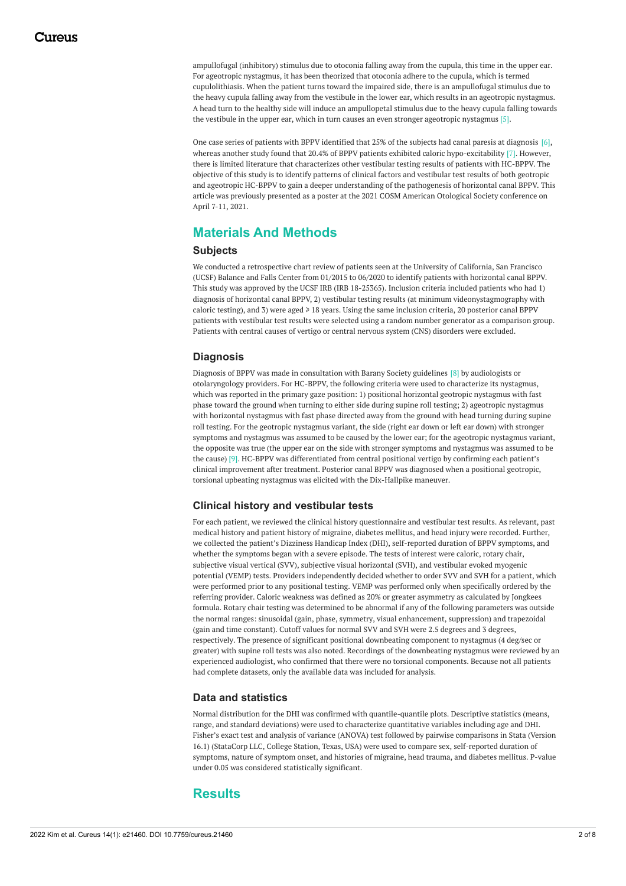ampullofugal (inhibitory) stimulus due to otoconia falling away from the cupula, this time in the upper ear. For ageotropic nystagmus, it has been theorized that otoconia adhere to the cupula, which is termed cupulolithiasis. When the patient turns toward the impaired side, there is an ampullofugal stimulus due to the heavy cupula falling away from the vestibule in the lower ear, which results in an ageotropic nystagmus. A head turn to the healthy side will induce an ampullopetal stimulus due to the heavy cupula falling towards the vestibule in the upper ear, which in turn causes an even stronger ageotropic nystagmus [5].

One case series of patients with BPPV identified that 25% of the subjects had canal paresis at diagnosis [6], whereas another study found that 20.4% of BPPV patients exhibited caloric hypo-excitability [7]. However, there is limited literature that characterizes other vestibular testing results of patients with HC-BPPV. The objective of this study is to identify patterns of clinical factors and vestibular test results of both geotropic and ageotropic HC-BPPV to gain a deeper understanding of the pathogenesis of horizontal canal BPPV. This article was previously presented as a poster at the 2021 COSM American Otological Society conference on April 7-11, 2021.

# **Materials And Methods**

### **Subjects**

We conducted a retrospective chart review of patients seen at the University of California, San Francisco (UCSF) Balance and Falls Center from 01/2015 to 06/2020 to identify patients with horizontal canal BPPV. This study was approved by the UCSF IRB (IRB 18-25365). Inclusion criteria included patients who had 1) diagnosis of horizontal canal BPPV, 2) vestibular testing results (at minimum videonystagmography with caloric testing), and 3) were aged ≥ 18 years. Using the same inclusion criteria, 20 posterior canal BPPV patients with vestibular test results were selected using a random number generator as a comparison group. Patients with central causes of vertigo or central nervous system (CNS) disorders were excluded.

### **Diagnosis**

Diagnosis of BPPV was made in consultation with Barany Society guidelines [8] by audiologists or otolaryngology providers. For HC-BPPV, the following criteria were used to characterize its nystagmus, which was reported in the primary gaze position: 1) positional horizontal geotropic nystagmus with fast phase toward the ground when turning to either side during supine roll testing; 2) ageotropic nystagmus with horizontal nystagmus with fast phase directed away from the ground with head turning during supine roll testing. For the geotropic nystagmus variant, the side (right ear down or left ear down) with stronger symptoms and nystagmus was assumed to be caused by the lower ear; for the ageotropic nystagmus variant, the opposite was true (the upper ear on the side with stronger symptoms and nystagmus was assumed to be the cause) [9]. HC-BPPV was differentiated from central positional vertigo by confirming each patient's clinical improvement after treatment. Posterior canal BPPV was diagnosed when a positional geotropic, torsional upbeating nystagmus was elicited with the Dix-Hallpike maneuver.

### **Clinical history and vestibular tests**

For each patient, we reviewed the clinical history questionnaire and vestibular test results. As relevant, past medical history and patient history of migraine, diabetes mellitus, and head injury were recorded. Further, we collected the patient's Dizziness Handicap Index (DHI), self-reported duration of BPPV symptoms, and whether the symptoms began with a severe episode. The tests of interest were caloric, rotary chair, subjective visual vertical (SVV), subjective visual horizontal (SVH), and vestibular evoked myogenic potential (VEMP) tests. Providers independently decided whether to order SVV and SVH for a patient, which were performed prior to any positional testing. VEMP was performed only when specifically ordered by the referring provider. Caloric weakness was defined as 20% or greater asymmetry as calculated by Jongkees formula. Rotary chair testing was determined to be abnormal if any of the following parameters was outside the normal ranges: sinusoidal (gain, phase, symmetry, visual enhancement, suppression) and trapezoidal (gain and time constant). Cutoff values for normal SVV and SVH were 2.5 degrees and 3 degrees, respectively. The presence of significant positional downbeating component to nystagmus (4 deg/sec or greater) with supine roll tests was also noted. Recordings of the downbeating nystagmus were reviewed by an experienced audiologist, who confirmed that there were no torsional components. Because not all patients had complete datasets, only the available data was included for analysis.

### **Data and statistics**

Normal distribution for the DHI was confirmed with quantile-quantile plots. Descriptive statistics (means, range, and standard deviations) were used to characterize quantitative variables including age and DHI. Fisher's exact test and analysis of variance (ANOVA) test followed by pairwise comparisons in Stata (Version 16.1) (StataCorp LLC, College Station, Texas, USA) were used to compare sex, self-reported duration of symptoms, nature of symptom onset, and histories of migraine, head trauma, and diabetes mellitus. P-value under 0.05 was considered statistically significant.

### **Results**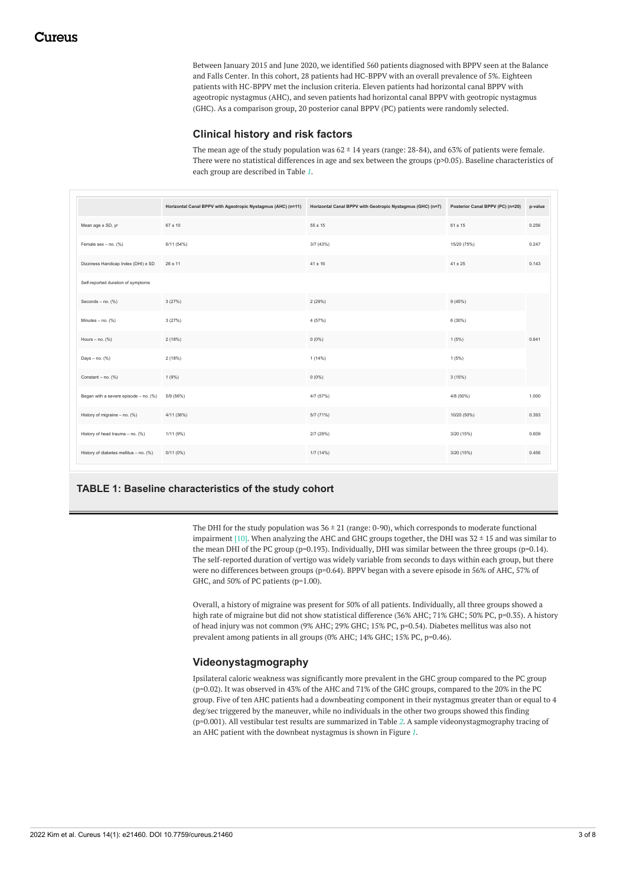Between January 2015 and June 2020, we identified 560 patients diagnosed with BPPV seen at the Balance and Falls Center. In this cohort, 28 patients had HC-BPPV with an overall prevalence of 5%. Eighteen patients with HC-BPPV met the inclusion criteria. Eleven patients had horizontal canal BPPV with ageotropic nystagmus (AHC), and seven patients had horizontal canal BPPV with geotropic nystagmus (GHC). As a comparison group, 20 posterior canal BPPV (PC) patients were randomly selected.

#### **Clinical history and risk factors**

The mean age of the study population was  $62 \pm 14$  years (range: 28-84), and 63% of patients were female. There were no statistical differences in age and sex between the groups (p>0.05). Baseline characteristics of each group are described in Table *[1](#page-2-0)*.

<span id="page-2-0"></span>

|                                        | Horizontal Canal BPPV with Ageotropic Nystagmus (AHC) (n=11) | Horizontal Canal BPPV with Geotropic Nystagmus (GHC) (n=7) | Posterior Canal BPPV (PC) (n=20) | p-value |
|----------------------------------------|--------------------------------------------------------------|------------------------------------------------------------|----------------------------------|---------|
| Mean age ± SD, yr                      | $67 \pm 10$                                                  | $55 \pm 15$                                                | $61 \pm 15$                      | 0.256   |
| Female sex - no. (%)                   | 6/11 (54%)                                                   | 3/7 (43%)                                                  | 15/20 (75%)                      | 0.247   |
| Dizziness Handicap Index (DHI) ± SD    | $26 \pm 11$                                                  | $41 \pm 16$                                                | $41 \pm 25$                      | 0.143   |
| Self-reported duration of symptoms     |                                                              |                                                            |                                  |         |
| Seconds $-$ no. $(%)$                  | 3(27%)                                                       | 2(29%)                                                     | 9(45%)                           |         |
| Minutes - no. (%)                      | 3(27%)                                                       | 4 (57%)                                                    | 6 (30%)                          |         |
| Hours $-$ no. $(%)$                    | 2(18%)                                                       | $0(0\%)$                                                   | 1(5%)                            | 0.641   |
| Days $-$ no. $(%)$                     | 2(18%)                                                       | 1(14%)                                                     | 1(5%)                            |         |
| Constant - no. (%)                     | 1(9%)                                                        | $0(0\%)$                                                   | 3(15%)                           |         |
| Began with a severe episode - no. (%)  | 5/9 (56%)                                                    | 4/7 (57%)                                                  | 4/8 (50%)                        | 1.000   |
| History of migraine - no. (%)          | 4/11 (36%)                                                   | 5/7 (71%)                                                  | 10/20 (50%)                      | 0.393   |
| History of head trauma - no. (%)       | 1/11 (9%)                                                    | 2/7 (29%)                                                  | 3/20 (15%)                       | 0.609   |
| History of diabetes mellitus - no. (%) | 0/11(0%)                                                     | 1/7(14%)                                                   | 3/20 (15%)                       | 0.456   |

### **TABLE 1: Baseline characteristics of the study cohort**

The DHI for the study population was  $36 \pm 21$  (range: 0-90), which corresponds to moderate functional impairment [10]. When analyzing the AHC and GHC groups together, the DHI was  $32 \pm 15$  and was similar to the mean DHI of the PC group (p=0.193). Individually, DHI was similar between the three groups (p=0.14). The self-reported duration of vertigo was widely variable from seconds to days within each group, but there were no differences between groups (p=0.64). BPPV began with a severe episode in 56% of AHC, 57% of GHC, and 50% of PC patients (p=1.00).

Overall, a history of migraine was present for 50% of all patients. Individually, all three groups showed a high rate of migraine but did not show statistical difference (36% AHC; 71% GHC; 50% PC, p=0.35). A history of head injury was not common (9% AHC; 29% GHC; 15% PC, p=0.54). Diabetes mellitus was also not prevalent among patients in all groups (0% AHC; 14% GHC; 15% PC, p=0.46).

#### **Videonystagmography**

Ipsilateral caloric weakness was significantly more prevalent in the GHC group compared to the PC group (p=0.02). It was observed in 43% of the AHC and 71% of the GHC groups, compared to the 20% in the PC group. Five of ten AHC patients had a downbeating component in their nystagmus greater than or equal to 4 deg/sec triggered by the maneuver, while no individuals in the other two groups showed this finding (p=0.001). All vestibular test results are summarized in Table *[2](#page-3-0)*. A sample videonystagmography tracing of an AHC patient with the downbeat nystagmus is shown in Figure *[1](#page-3-1)*.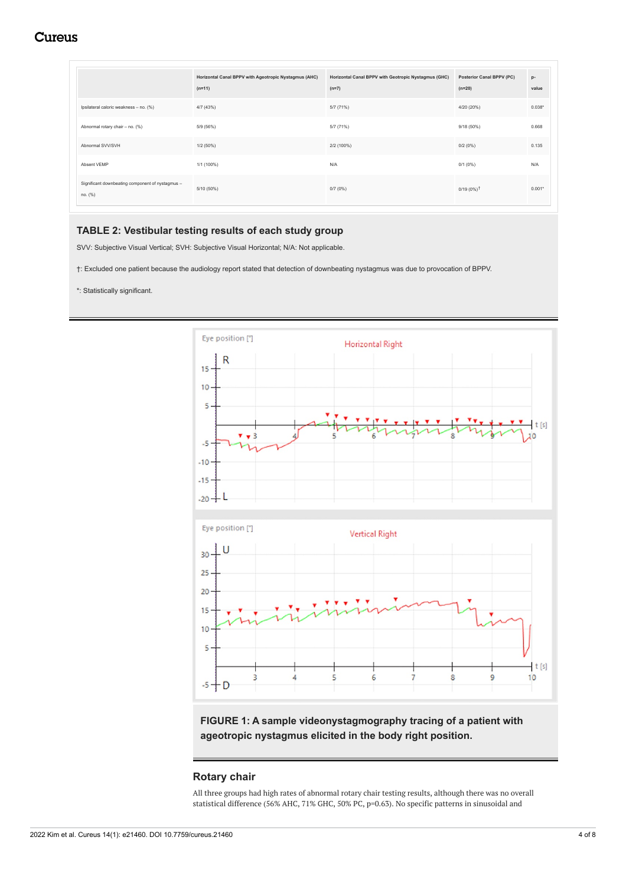# **Cureus**

<span id="page-3-0"></span>

|                                                             | Horizontal Canal BPPV with Ageotropic Nystagmus (AHC)<br>$(n=11)$ | Horizontal Canal BPPV with Geotropic Nystagmus (GHC)<br>$(n=7)$ | <b>Posterior Canal BPPV (PC)</b><br>$(n=20)$ | $p-$<br>value |
|-------------------------------------------------------------|-------------------------------------------------------------------|-----------------------------------------------------------------|----------------------------------------------|---------------|
| Ipsilateral caloric weakness - no. (%)                      | 4/7(43%)                                                          | 5/7(71%)                                                        | 4/20 (20%)                                   | $0.038*$      |
| Abnormal rotary chair - no. (%)                             | 5/9 (56%)                                                         | 5/7(71%)                                                        | $9/18(50\%)$                                 | 0.668         |
| Abnormal SVV/SVH                                            | $1/2(50\%)$                                                       | 2/2 (100%)                                                      | 0/2(0%)                                      | 0.135         |
| Absent VEMP                                                 | 1/1 (100%)                                                        | N/A                                                             | 0/1(0%)                                      | N/A           |
| Significant downbeating component of nystagmus -<br>no. (%) | 5/10 (50%)                                                        | 0/7(0%)                                                         | $0/19(0\%)^{\dagger}$                        | $0.001*$      |

#### **TABLE 2: Vestibular testing results of each study group**

SVV: Subjective Visual Vertical; SVH: Subjective Visual Horizontal; N/A: Not applicable.

- †: Excluded one patient because the audiology report stated that detection of downbeating nystagmus was due to provocation of BPPV.
- \*: Statistically significant.

<span id="page-3-1"></span>

**FIGURE 1: A sample videonystagmography tracing of a patient with ageotropic nystagmus elicited in the body right position.**

### **Rotary chair**

All three groups had high rates of abnormal rotary chair testing results, although there was no overall statistical difference (56% AHC, 71% GHC, 50% PC, p=0.63). No specific patterns in sinusoidal and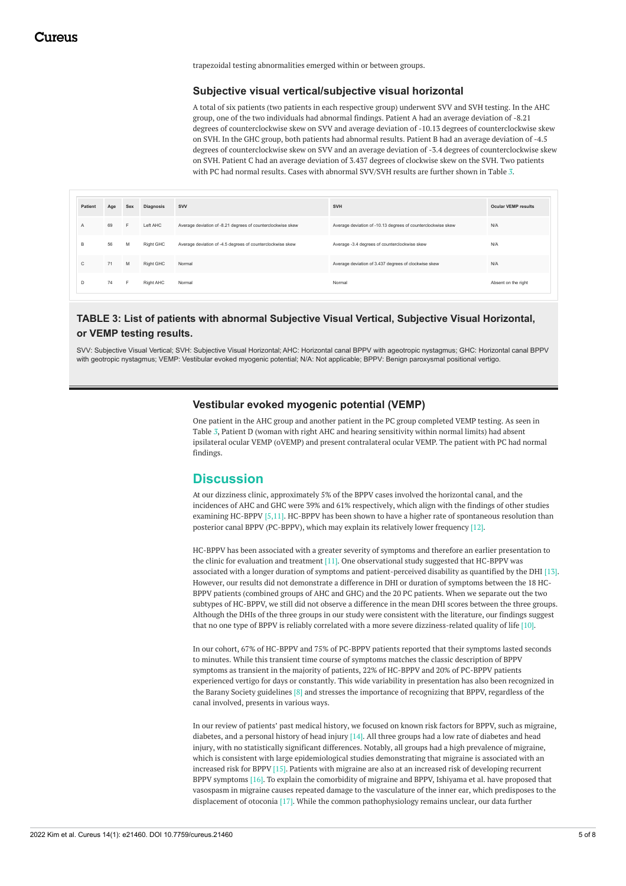trapezoidal testing abnormalities emerged within or between groups.

#### **Subjective visual vertical/subjective visual horizontal**

A total of six patients (two patients in each respective group) underwent SVV and SVH testing. In the AHC group, one of the two individuals had abnormal findings. Patient A had an average deviation of -8.21 degrees of counterclockwise skew on SVV and average deviation of -10.13 degrees of counterclockwise skew on SVH. In the GHC group, both patients had abnormal results. Patient B had an average deviation of -4.5 degrees of counterclockwise skew on SVV and an average deviation of -3.4 degrees of counterclockwise skew on SVH. Patient C had an average deviation of 3.437 degrees of clockwise skew on the SVH. Two patients with PC had normal results. Cases with abnormal SVV/SVH results are further shown in Table *[3](#page-4-0)*.

<span id="page-4-0"></span>

| Patient      | Age | Sex | Diagnosis | <b>SVV</b>                                                  | <b>SVH</b>                                                   | <b>Ocular VEMP results</b> |
|--------------|-----|-----|-----------|-------------------------------------------------------------|--------------------------------------------------------------|----------------------------|
| $\mathsf{A}$ | 69  | F.  | Left AHC  | Average deviation of -8.21 degrees of counterclockwise skew | Average deviation of -10.13 degrees of counterclockwise skew | N/A                        |
| в            | 56  | M   | Right GHC | Average deviation of -4.5 degrees of counterclockwise skew  | Average -3.4 degrees of counterclockwise skew                | N/A                        |
| C            | 71  | M   | Right GHC | Normal                                                      | Average deviation of 3.437 degrees of clockwise skew         | N/A                        |
| D            | 74  | E   | Right AHC | Normal                                                      | Normal                                                       | Absent on the right        |

### **TABLE 3: List of patients with abnormal Subjective Visual Vertical, Subjective Visual Horizontal, or VEMP testing results.**

SVV: Subjective Visual Vertical; SVH: Subjective Visual Horizontal; AHC: Horizontal canal BPPV with ageotropic nystagmus; GHC: Horizontal canal BPPV with geotropic nystagmus; VEMP: Vestibular evoked myogenic potential; N/A: Not applicable; BPPV: Benign paroxysmal positional vertigo.

#### **Vestibular evoked myogenic potential (VEMP)**

One patient in the AHC group and another patient in the PC group completed VEMP testing. As seen in Table *[3](#page-4-0)*, Patient D (woman with right AHC and hearing sensitivity within normal limits) had absent ipsilateral ocular VEMP (oVEMP) and present contralateral ocular VEMP. The patient with PC had normal findings.

### **Discussion**

At our dizziness clinic, approximately 5% of the BPPV cases involved the horizontal canal, and the incidences of AHC and GHC were 39% and 61% respectively, which align with the findings of other studies examining HC-BPPV [5,11]. HC-BPPV has been shown to have a higher rate of spontaneous resolution than posterior canal BPPV (PC-BPPV), which may explain its relatively lower frequency [12].

HC-BPPV has been associated with a greater severity of symptoms and therefore an earlier presentation to the clinic for evaluation and treatment  $[11]$ . One observational study suggested that HC-BPPV was associated with a longer duration of symptoms and patient-perceived disability as quantified by the DHI [13]. However, our results did not demonstrate a difference in DHI or duration of symptoms between the 18 HC-BPPV patients (combined groups of AHC and GHC) and the 20 PC patients. When we separate out the two subtypes of HC-BPPV, we still did not observe a difference in the mean DHI scores between the three groups. Although the DHIs of the three groups in our study were consistent with the literature, our findings suggest that no one type of BPPV is reliably correlated with a more severe dizziness-related quality of life [10].

In our cohort, 67% of HC-BPPV and 75% of PC-BPPV patients reported that their symptoms lasted seconds to minutes. While this transient time course of symptoms matches the classic description of BPPV symptoms as transient in the majority of patients, 22% of HC-BPPV and 20% of PC-BPPV patients experienced vertigo for days or constantly. This wide variability in presentation has also been recognized in the Barany Society guidelines [8] and stresses the importance of recognizing that BPPV, regardless of the canal involved, presents in various ways.

In our review of patients' past medical history, we focused on known risk factors for BPPV, such as migraine, diabetes, and a personal history of head injury [14]. All three groups had a low rate of diabetes and head injury, with no statistically significant differences. Notably, all groups had a high prevalence of migraine, which is consistent with large epidemiological studies demonstrating that migraine is associated with an increased risk for BPPV [15]. Patients with migraine are also at an increased risk of developing recurrent BPPV symptoms [16]. To explain the comorbidity of migraine and BPPV, Ishiyama et al. have proposed that vasospasm in migraine causes repeated damage to the vasculature of the inner ear, which predisposes to the displacement of otoconia [17]. While the common pathophysiology remains unclear, our data further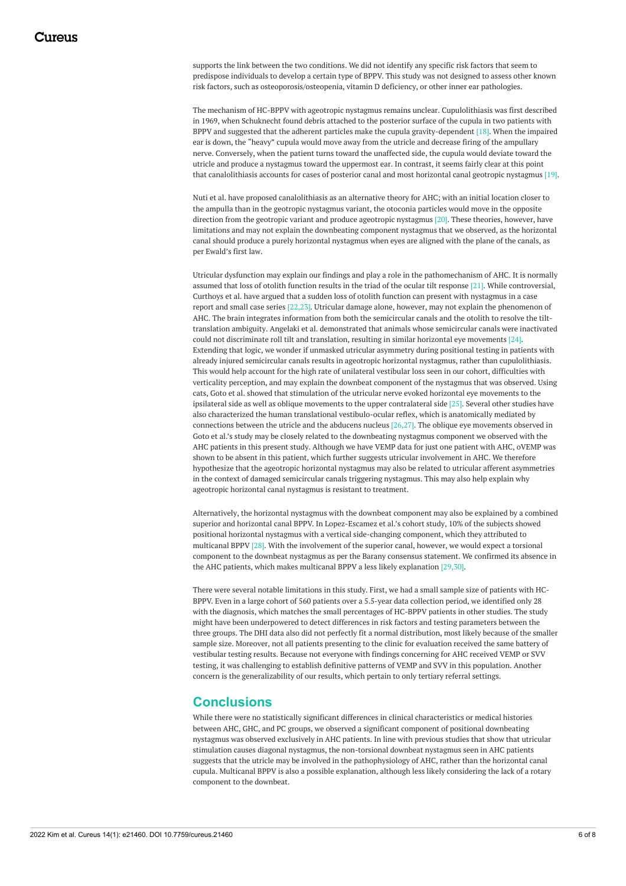supports the link between the two conditions. We did not identify any specific risk factors that seem to predispose individuals to develop a certain type of BPPV. This study was not designed to assess other known risk factors, such as osteoporosis/osteopenia, vitamin D deficiency, or other inner ear pathologies.

The mechanism of HC-BPPV with ageotropic nystagmus remains unclear. Cupulolithiasis was first described in 1969, when Schuknecht found debris attached to the posterior surface of the cupula in two patients with BPPV and suggested that the adherent particles make the cupula gravity-dependent [18]. When the impaired ear is down, the "heavy" cupula would move away from the utricle and decrease firing of the ampullary nerve. Conversely, when the patient turns toward the unaffected side, the cupula would deviate toward the utricle and produce a nystagmus toward the uppermost ear. In contrast, it seems fairly clear at this point that canalolithiasis accounts for cases of posterior canal and most horizontal canal geotropic nystagmus [19].

Nuti et al. have proposed canalolithiasis as an alternative theory for AHC; with an initial location closer to the ampulla than in the geotropic nystagmus variant, the otoconia particles would move in the opposite direction from the geotropic variant and produce ageotropic nystagmus [20]. These theories, however, have limitations and may not explain the downbeating component nystagmus that we observed, as the horizontal canal should produce a purely horizontal nystagmus when eyes are aligned with the plane of the canals, as per Ewald's first law.

Utricular dysfunction may explain our findings and play a role in the pathomechanism of AHC. It is normally assumed that loss of otolith function results in the triad of the ocular tilt response [21]. While controversial, Curthoys et al. have argued that a sudden loss of otolith function can present with nystagmus in a case report and small case series [22,23]. Utricular damage alone, however, may not explain the phenomenon of AHC. The brain integrates information from both the semicircular canals and the otolith to resolve the tilttranslation ambiguity. Angelaki et al. demonstrated that animals whose semicircular canals were inactivated could not discriminate roll tilt and translation, resulting in similar horizontal eye movements [24]. Extending that logic, we wonder if unmasked utricular asymmetry during positional testing in patients with already injured semicircular canals results in ageotropic horizontal nystagmus, rather than cupulolithiasis. This would help account for the high rate of unilateral vestibular loss seen in our cohort, difficulties with verticality perception, and may explain the downbeat component of the nystagmus that was observed. Using cats, Goto et al. showed that stimulation of the utricular nerve evoked horizontal eye movements to the ipsilateral side as well as oblique movements to the upper contralateral side [25]. Several other studies have also characterized the human translational vestibulo-ocular reflex, which is anatomically mediated by connections between the utricle and the abducens nucleus [26,27]. The oblique eye movements observed in Goto et al.'s study may be closely related to the downbeating nystagmus component we observed with the AHC patients in this present study. Although we have VEMP data for just one patient with AHC, oVEMP was shown to be absent in this patient, which further suggests utricular involvement in AHC. We therefore hypothesize that the ageotropic horizontal nystagmus may also be related to utricular afferent asymmetries in the context of damaged semicircular canals triggering nystagmus. This may also help explain why ageotropic horizontal canal nystagmus is resistant to treatment.

Alternatively, the horizontal nystagmus with the downbeat component may also be explained by a combined superior and horizontal canal BPPV. In Lopez-Escamez et al.'s cohort study, 10% of the subjects showed positional horizontal nystagmus with a vertical side-changing component, which they attributed to multicanal BPPV [28]. With the involvement of the superior canal, however, we would expect a torsional component to the downbeat nystagmus as per the Barany consensus statement. We confirmed its absence in the AHC patients, which makes multicanal BPPV a less likely explanation [29,30].

There were several notable limitations in this study. First, we had a small sample size of patients with HC-BPPV. Even in a large cohort of 560 patients over a 5.5-year data collection period, we identified only 28 with the diagnosis, which matches the small percentages of HC-BPPV patients in other studies. The study might have been underpowered to detect differences in risk factors and testing parameters between the three groups. The DHI data also did not perfectly fit a normal distribution, most likely because of the smaller sample size. Moreover, not all patients presenting to the clinic for evaluation received the same battery of vestibular testing results. Because not everyone with findings concerning for AHC received VEMP or SVV testing, it was challenging to establish definitive patterns of VEMP and SVV in this population. Another concern is the generalizability of our results, which pertain to only tertiary referral settings.

### **Conclusions**

While there were no statistically significant differences in clinical characteristics or medical histories between AHC, GHC, and PC groups, we observed a significant component of positional downbeating nystagmus was observed exclusively in AHC patients. In line with previous studies that show that utricular stimulation causes diagonal nystagmus, the non-torsional downbeat nystagmus seen in AHC patients suggests that the utricle may be involved in the pathophysiology of AHC, rather than the horizontal canal cupula. Multicanal BPPV is also a possible explanation, although less likely considering the lack of a rotary component to the downbeat.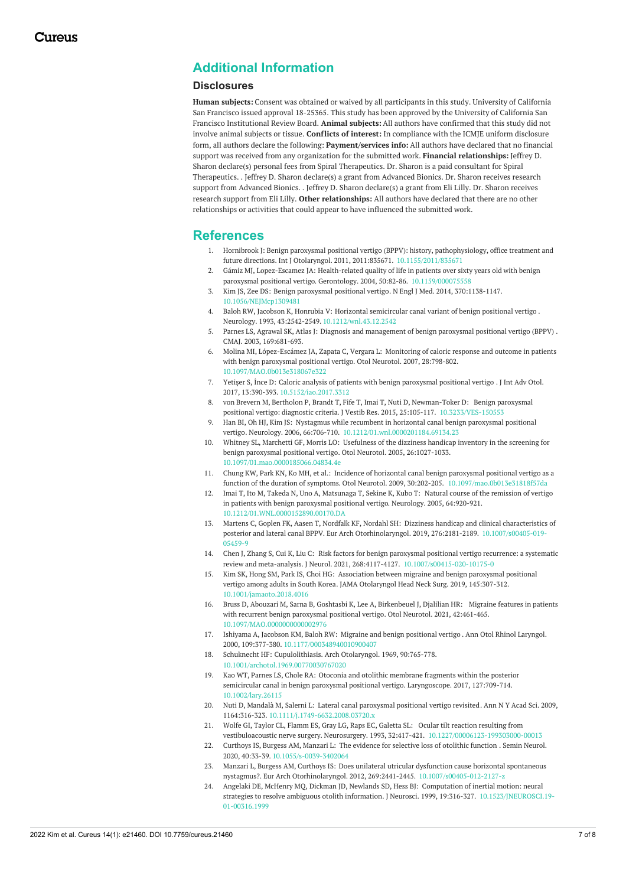# **Additional Information**

#### **Disclosures**

**Human subjects:** Consent was obtained or waived by all participants in this study. University of California San Francisco issued approval 18-25365. This study has been approved by the University of California San Francisco Institutional Review Board. **Animal subjects:** All authors have confirmed that this study did not involve animal subjects or tissue. **Conflicts of interest:** In compliance with the ICMJE uniform disclosure form, all authors declare the following: **Payment/services info:** All authors have declared that no financial support was received from any organization for the submitted work. **Financial relationships:** Jeffrey D. Sharon declare(s) personal fees from Spiral Therapeutics. Dr. Sharon is a paid consultant for Spiral Therapeutics. . Jeffrey D. Sharon declare(s) a grant from Advanced Bionics. Dr. Sharon receives research support from Advanced Bionics. . Jeffrey D. Sharon declare(s) a grant from Eli Lilly. Dr. Sharon receives research support from Eli Lilly. **Other relationships:** All authors have declared that there are no other relationships or activities that could appear to have influenced the submitted work.

### **References**

- 1. Hornibrook J: Benign paroxysmal positional vertigo (BPPV): history, pathophysiology, office treatment and future directions. Int J Otolaryngol. 2011, 2011:835671. [10.1155/2011/835671](https://dx.doi.org/10.1155/2011/835671?utm_medium=email&utm_source=transaction)
- 2. Gámiz MJ, Lopez-Escamez JA: Health-related quality of life in patients over sixty years old with benign paroxysmal positional vertigo. Gerontology. 2004, 50:82-86. [10.1159/000075558](https://dx.doi.org/10.1159/000075558?utm_medium=email&utm_source=transaction)
- 3. Kim JS, Zee DS: Benign [paroxysmal](https://dx.doi.org/10.1056/NEJMcp1309481?utm_medium=email&utm_source=transaction) positional vertigo. N Engl J Med. 2014, 370:1138-1147. [10.1056/NEJMcp1309481](https://dx.doi.org/10.1056/NEJMcp1309481?utm_medium=email&utm_source=transaction)
- 4. Baloh RW, Jacobson K, Honrubia V: Horizontal [semicircular](https://dx.doi.org/10.1212/wnl.43.12.2542?utm_medium=email&utm_source=transaction) canal variant of benign positional vertigo . Neurology. 1993, 43:2542-2549. [10.1212/wnl.43.12.2542](https://dx.doi.org/10.1212/wnl.43.12.2542?utm_medium=email&utm_source=transaction)
- 5. Parnes LS, Agrawal SK, Atlas J: Diagnosis and [management](https://www.cmaj.ca/content/169/7/681.long?utm_medium=email&utm_source=transaction) of benign paroxysmal positional vertigo (BPPV) . CMAJ. 2003, 169:681-693.
- 6. Molina MI, [López-Escámez](https://dx.doi.org/10.1097/MAO.0b013e318067e322?utm_medium=email&utm_source=transaction) JA, Zapata C, Vergara L: Monitoring of caloric response and outcome in patients with benign paroxysmal positional vertigo. Otol Neurotol. 2007, 28:798-802. [10.1097/MAO.0b013e318067e322](https://dx.doi.org/10.1097/MAO.0b013e318067e322?utm_medium=email&utm_source=transaction)
- 7. Yetişer S, İnce D: Caloric analysis of patients with benign [paroxysmal](https://dx.doi.org/10.5152/iao.2017.3312?utm_medium=email&utm_source=transaction) positional vertigo . J Int Adv Otol. 2017, 13:390-393. [10.5152/iao.2017.3312](https://dx.doi.org/10.5152/iao.2017.3312?utm_medium=email&utm_source=transaction)
- 8. von Brevern M, Bertholon P, Brandt T, Fife T, Imai T, Nuti D, Newman-Toker D: Benign paroxysmal positional vertigo: diagnostic criteria. J Vestib Res. 2015, 25:105-117. [10.3233/VES-150553](https://dx.doi.org/10.3233/VES-150553?utm_medium=email&utm_source=transaction)
- 9. Han BI, Oh HJ, Kim JS: Nystagmus while recumbent in horizontal canal benign paroxysmal positional vertigo. Neurology. 2006, 66:706-710. [10.1212/01.wnl.0000201184.69134.23](https://dx.doi.org/10.1212/01.wnl.0000201184.69134.23?utm_medium=email&utm_source=transaction)
- 10. Whitney SL, Marchetti GF, Morris LO: Usefulness of the dizziness handicap inventory in the screening for benign paroxysmal positional vertigo. Otol Neurotol. 2005, [26:1027-1033.](https://dx.doi.org/10.1097/01.mao.0000185066.04834.4e?utm_medium=email&utm_source=transaction) [10.1097/01.mao.0000185066.04834.4e](https://dx.doi.org/10.1097/01.mao.0000185066.04834.4e?utm_medium=email&utm_source=transaction)
- 11. Chung KW, Park KN, Ko MH, et al.: Incidence of horizontal canal benign paroxysmal positional vertigo as a function of the duration of symptoms. Otol Neurotol. 2009, 30:202-205. [10.1097/mao.0b013e31818f57da](https://dx.doi.org/10.1097/mao.0b013e31818f57da?utm_medium=email&utm_source=transaction)
- 12. Imai T, Ito M, Takeda N, Uno A, Matsunaga T, Sekine K, Kubo T: Natural course of the remission of vertigo in patients with benign paroxysmal positional vertigo. Neurology. 2005, [64:920-921.](https://dx.doi.org/10.1212/01.WNL.0000152890.00170.DA?utm_medium=email&utm_source=transaction) [10.1212/01.WNL.0000152890.00170.DA](https://dx.doi.org/10.1212/01.WNL.0000152890.00170.DA?utm_medium=email&utm_source=transaction)
- 13. Martens C, Goplen FK, Aasen T, Nordfalk KF, Nordahl SH: Dizziness handicap and clinical characteristics of posterior and lateral canal BPPV. Eur Arch Otorhinolaryngol. 2019, 276:2181-2189. [10.1007/s00405-019-](https://dx.doi.org/10.1007/s00405-019-05459-9?utm_medium=email&utm_source=transaction) 05459-9
- 14. Chen J, Zhang S, Cui K, Liu C: Risk factors for benign paroxysmal positional vertigo recurrence: a systematic review and meta-analysis. J Neurol. 2021, 268:4117-4127. [10.1007/s00415-020-10175-0](https://dx.doi.org/10.1007/s00415-020-10175-0?utm_medium=email&utm_source=transaction)
- 15. Kim SK, Hong SM, Park IS, Choi HG: Association between migraine and benign paroxysmal positional vertigo among adults in South Korea. JAMA Otolaryngol Head Neck Surg. 2019, [145:307-312.](https://dx.doi.org/10.1001/jamaoto.2018.4016?utm_medium=email&utm_source=transaction) [10.1001/jamaoto.2018.4016](https://dx.doi.org/10.1001/jamaoto.2018.4016?utm_medium=email&utm_source=transaction)
- 16. Bruss D, Abouzari M, Sarna B, Goshtasbi K, Lee A, [Birkenbeuel](https://dx.doi.org/10.1097/MAO.0000000000002976?utm_medium=email&utm_source=transaction) J, Djalilian HR: Migraine features in patients with recurrent benign paroxysmal positional vertigo. Otol Neurotol. 2021, 42:461-465. [10.1097/MAO.0000000000002976](https://dx.doi.org/10.1097/MAO.0000000000002976?utm_medium=email&utm_source=transaction)
- 17. Ishiyama A, Jacobson KM, Baloh RW: Migraine and benign [positional](https://dx.doi.org/10.1177/000348940010900407?utm_medium=email&utm_source=transaction) vertigo . Ann Otol Rhinol Laryngol. 2000, 109:377-380. [10.1177/000348940010900407](https://dx.doi.org/10.1177/000348940010900407?utm_medium=email&utm_source=transaction)
- 18. Schuknecht HF: [Cupulolithiasis](https://dx.doi.org/10.1001/archotol.1969.00770030767020?utm_medium=email&utm_source=transaction). Arch Otolaryngol. 1969, 90:765-778. [10.1001/archotol.1969.00770030767020](https://dx.doi.org/10.1001/archotol.1969.00770030767020?utm_medium=email&utm_source=transaction)
- 19. Kao WT, Parnes LS, Chole RA: Otoconia and otolithic membrane fragments within the posterior semicircular canal in benign paroxysmal positional vertigo. [Laryngoscope.](https://dx.doi.org/10.1002/lary.26115?utm_medium=email&utm_source=transaction) 2017, 127:709-714. [10.1002/lary.26115](https://dx.doi.org/10.1002/lary.26115?utm_medium=email&utm_source=transaction)
- 20. Nuti D, Mandalà M, Salerni L: Lateral canal [paroxysmal](https://dx.doi.org/10.1111/j.1749-6632.2008.03720.x?utm_medium=email&utm_source=transaction) positional vertigo revisited. Ann N Y Acad Sci. 2009, 1164:316-323. [10.1111/j.1749-6632.2008.03720.x](https://dx.doi.org/10.1111/j.1749-6632.2008.03720.x?utm_medium=email&utm_source=transaction)
- 21. Wolfe GI, Taylor CL, Flamm ES, Gray LG, Raps EC, Galetta SL: Ocular tilt reaction resulting from vestibuloacoustic nerve surgery. Neurosurgery. 1993, 32:417-421. [10.1227/00006123-199303000-00013](https://dx.doi.org/10.1227/00006123-199303000-00013?utm_medium=email&utm_source=transaction)
- 22. Curthoys IS, Burgess AM, Manzari L: The [evidence](https://dx.doi.org/10.1055/s-0039-3402064?utm_medium=email&utm_source=transaction) for selective loss of otolithic function . Semin Neurol. 2020, 40:33-39. [10.1055/s-0039-3402064](https://dx.doi.org/10.1055/s-0039-3402064?utm_medium=email&utm_source=transaction)
- 23. Manzari L, Burgess AM, Curthoys IS: Does unilateral utricular dysfunction cause horizontal spontaneous nystagmus?. Eur Arch Otorhinolaryngol. 2012, 269:2441-2445. [10.1007/s00405-012-2127-z](https://dx.doi.org/10.1007/s00405-012-2127-z?utm_medium=email&utm_source=transaction)
- 24. Angelaki DE, McHenry MQ, Dickman JD, Newlands SD, Hess BJ: Computation of inertial motion: neural strategies to resolve ambiguous otolith information. J Neurosci. 1999, 19:316-327. [10.1523/JNEUROSCI.19-](https://dx.doi.org/10.1523/JNEUROSCI.19-01-00316.1999?utm_medium=email&utm_source=transaction) 01-00316.1999